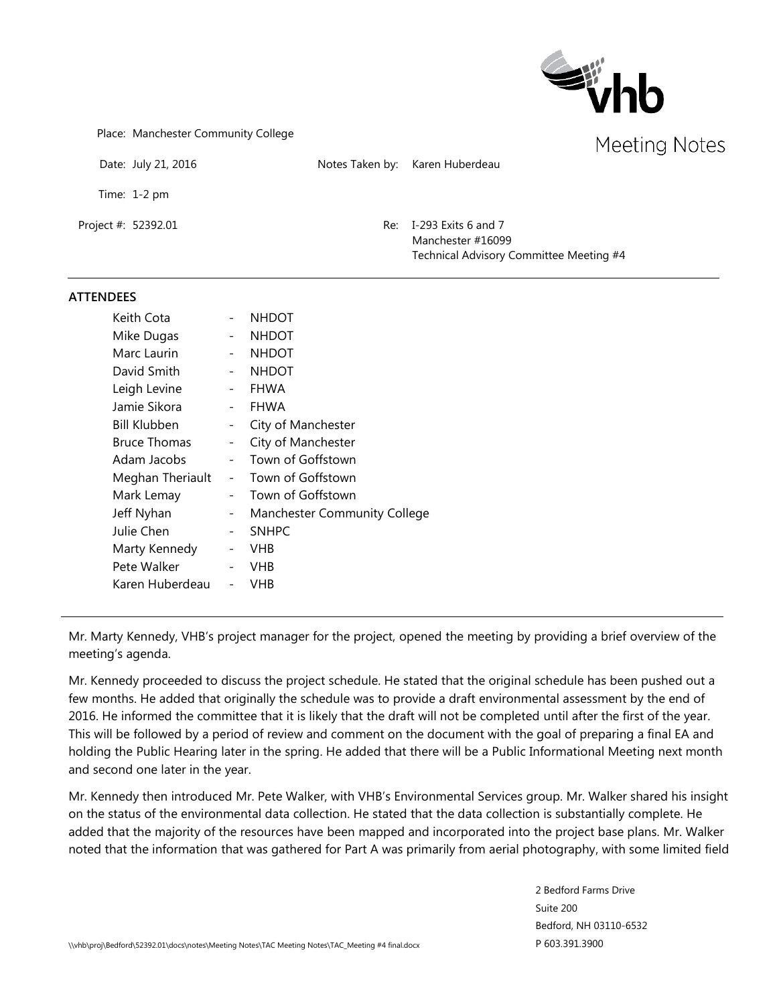

Place: Manchester Community College

Date: July 21, 2016 Notes Taken by: Karen Huberdeau

Time: 1-2 pm

Project #: 52392.01 Re: I-293 Exits 6 and 7 Manchester #16099 Technical Advisory Committee Meeting #4

## **ATTENDEES**

| Keith Cota          |                          | <b>NHDOT</b>                        |
|---------------------|--------------------------|-------------------------------------|
| Mike Dugas          |                          | <b>NHDOT</b>                        |
| Marc Laurin         | $\overline{\phantom{0}}$ | <b>NHDOT</b>                        |
| David Smith         | $\overline{\phantom{0}}$ | <b>NHDOT</b>                        |
| Leigh Levine        | $\overline{\phantom{0}}$ | <b>FHWA</b>                         |
| Jamie Sikora        | $\overline{\phantom{0}}$ | <b>FHWA</b>                         |
| <b>Bill Klubben</b> | $\sim$                   | City of Manchester                  |
| <b>Bruce Thomas</b> | $\overline{\phantom{0}}$ | City of Manchester                  |
| Adam Jacobs         | $\sim$                   | Town of Goffstown                   |
| Meghan Theriault    | $\sim$                   | Town of Goffstown                   |
| Mark Lemay          | $\overline{\phantom{0}}$ | Town of Goffstown                   |
| Jeff Nyhan          | $\sim$                   | <b>Manchester Community College</b> |
| Julie Chen          | $\overline{\phantom{0}}$ | <b>SNHPC</b>                        |
| Marty Kennedy       | $\qquad \qquad -$        | <b>VHB</b>                          |
| Pete Walker         | $\overline{\phantom{0}}$ | <b>VHB</b>                          |
| Karen Huberdeau     |                          | VHB                                 |
|                     |                          |                                     |

Mr. Marty Kennedy, VHB's project manager for the project, opened the meeting by providing a brief overview of the meeting's agenda.

Mr. Kennedy proceeded to discuss the project schedule. He stated that the original schedule has been pushed out a few months. He added that originally the schedule was to provide a draft environmental assessment by the end of 2016. He informed the committee that it is likely that the draft will not be completed until after the first of the year. This will be followed by a period of review and comment on the document with the goal of preparing a final EA and holding the Public Hearing later in the spring. He added that there will be a Public Informational Meeting next month and second one later in the year.

Mr. Kennedy then introduced Mr. Pete Walker, with VHB's Environmental Services group. Mr. Walker shared his insight on the status of the environmental data collection. He stated that the data collection is substantially complete. He added that the majority of the resources have been mapped and incorporated into the project base plans. Mr. Walker noted that the information that was gathered for Part A was primarily from aerial photography, with some limited field

> 2 Bedford Farms Drive Suite 200 Bedford, NH 03110-6532 P 603.391.3900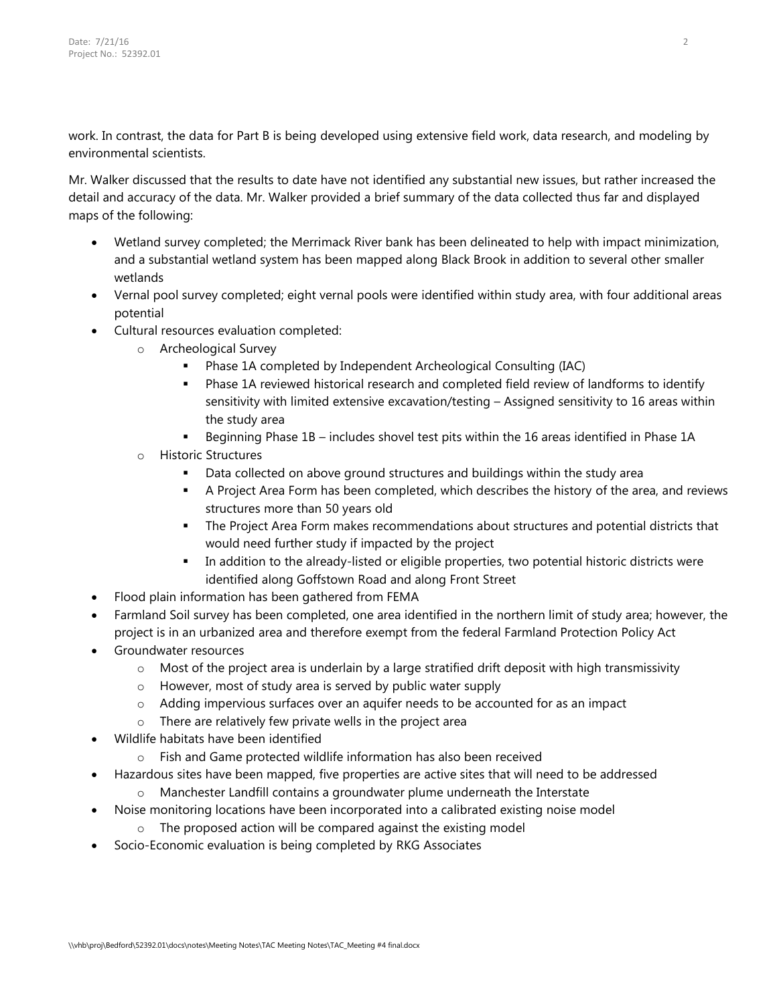work. In contrast, the data for Part B is being developed using extensive field work, data research, and modeling by environmental scientists.

Mr. Walker discussed that the results to date have not identified any substantial new issues, but rather increased the detail and accuracy of the data. Mr. Walker provided a brief summary of the data collected thus far and displayed maps of the following:

- Wetland survey completed; the Merrimack River bank has been delineated to help with impact minimization, and a substantial wetland system has been mapped along Black Brook in addition to several other smaller wetlands
- Vernal pool survey completed; eight vernal pools were identified within study area, with four additional areas potential
- Cultural resources evaluation completed:
	- o Archeological Survey
		- Phase 1A completed by Independent Archeological Consulting (IAC)
		- Phase 1A reviewed historical research and completed field review of landforms to identify sensitivity with limited extensive excavation/testing – Assigned sensitivity to 16 areas within the study area
		- **Beginning Phase 1B includes shovel test pits within the 16 areas identified in Phase 1A**
	- o Historic Structures
		- Data collected on above ground structures and buildings within the study area
		- A Project Area Form has been completed, which describes the history of the area, and reviews structures more than 50 years old
		- The Project Area Form makes recommendations about structures and potential districts that would need further study if impacted by the project
		- In addition to the already-listed or eligible properties, two potential historic districts were identified along Goffstown Road and along Front Street
- Flood plain information has been gathered from FEMA
- Farmland Soil survey has been completed, one area identified in the northern limit of study area; however, the project is in an urbanized area and therefore exempt from the federal Farmland Protection Policy Act
- Groundwater resources
	- $\circ$  Most of the project area is underlain by a large stratified drift deposit with high transmissivity
	- o However, most of study area is served by public water supply
	- o Adding impervious surfaces over an aquifer needs to be accounted for as an impact
	- o There are relatively few private wells in the project area
- Wildlife habitats have been identified
	- o Fish and Game protected wildlife information has also been received
- Hazardous sites have been mapped, five properties are active sites that will need to be addressed
	- $\circ$  Manchester Landfill contains a groundwater plume underneath the Interstate
- Noise monitoring locations have been incorporated into a calibrated existing noise model
	- o The proposed action will be compared against the existing model
- Socio-Economic evaluation is being completed by RKG Associates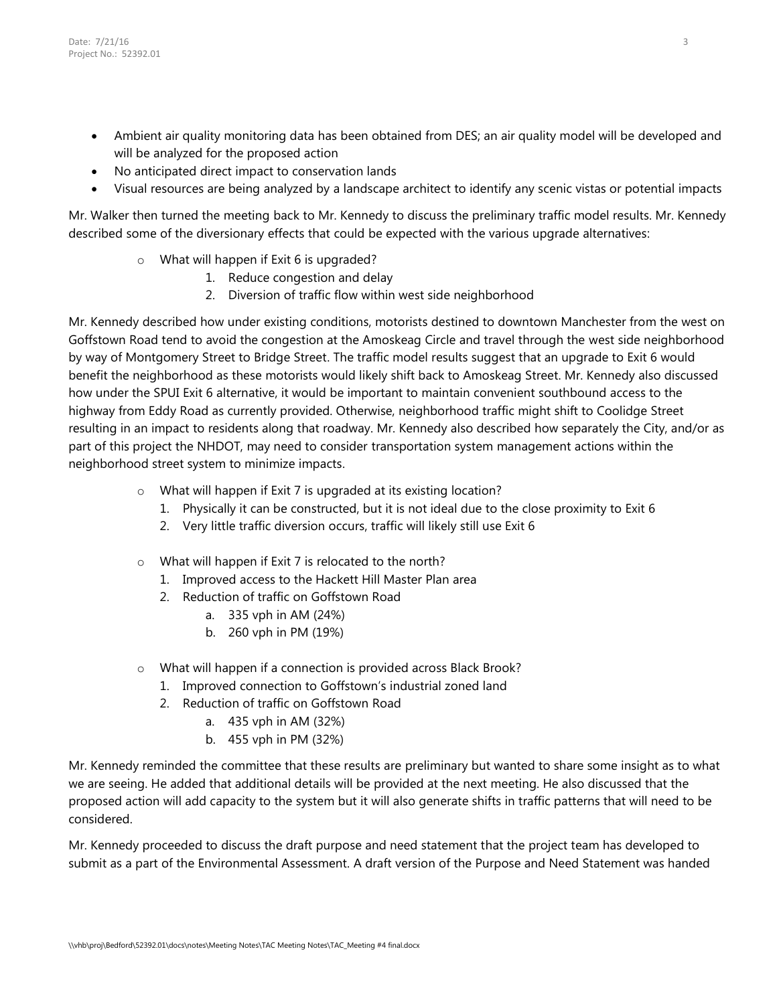- Ambient air quality monitoring data has been obtained from DES; an air quality model will be developed and will be analyzed for the proposed action
- No anticipated direct impact to conservation lands
- Visual resources are being analyzed by a landscape architect to identify any scenic vistas or potential impacts

Mr. Walker then turned the meeting back to Mr. Kennedy to discuss the preliminary traffic model results. Mr. Kennedy described some of the diversionary effects that could be expected with the various upgrade alternatives:

- o What will happen if Exit 6 is upgraded?
	- 1. Reduce congestion and delay
	- 2. Diversion of traffic flow within west side neighborhood

Mr. Kennedy described how under existing conditions, motorists destined to downtown Manchester from the west on Goffstown Road tend to avoid the congestion at the Amoskeag Circle and travel through the west side neighborhood by way of Montgomery Street to Bridge Street. The traffic model results suggest that an upgrade to Exit 6 would benefit the neighborhood as these motorists would likely shift back to Amoskeag Street. Mr. Kennedy also discussed how under the SPUI Exit 6 alternative, it would be important to maintain convenient southbound access to the highway from Eddy Road as currently provided. Otherwise, neighborhood traffic might shift to Coolidge Street resulting in an impact to residents along that roadway. Mr. Kennedy also described how separately the City, and/or as part of this project the NHDOT, may need to consider transportation system management actions within the neighborhood street system to minimize impacts.

- o What will happen if Exit 7 is upgraded at its existing location?
	- 1. Physically it can be constructed, but it is not ideal due to the close proximity to Exit 6
	- 2. Very little traffic diversion occurs, traffic will likely still use Exit 6
- o What will happen if Exit 7 is relocated to the north?
	- 1. Improved access to the Hackett Hill Master Plan area
	- 2. Reduction of traffic on Goffstown Road
		- a. 335 vph in AM (24%)
		- b. 260 vph in PM (19%)
- o What will happen if a connection is provided across Black Brook?
	- 1. Improved connection to Goffstown's industrial zoned land
		- 2. Reduction of traffic on Goffstown Road
			- a. 435 vph in AM (32%)
			- b. 455 vph in PM (32%)

Mr. Kennedy reminded the committee that these results are preliminary but wanted to share some insight as to what we are seeing. He added that additional details will be provided at the next meeting. He also discussed that the proposed action will add capacity to the system but it will also generate shifts in traffic patterns that will need to be considered.

Mr. Kennedy proceeded to discuss the draft purpose and need statement that the project team has developed to submit as a part of the Environmental Assessment. A draft version of the Purpose and Need Statement was handed